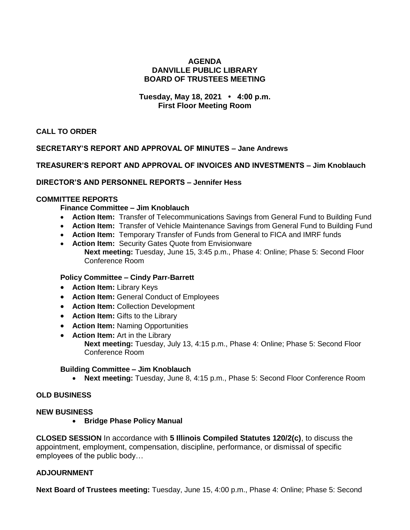### **AGENDA DANVILLE PUBLIC LIBRARY BOARD OF TRUSTEES MEETING**

## **Tuesday, May 18, 2021 • 4:00 p.m. First Floor Meeting Room**

**CALL TO ORDER**

# **SECRETARY'S REPORT AND APPROVAL OF MINUTES – Jane Andrews**

### **TREASURER'S REPORT AND APPROVAL OF INVOICES AND INVESTMENTS – Jim Knoblauch**

### **DIRECTOR'S AND PERSONNEL REPORTS – Jennifer Hess**

## **COMMITTEE REPORTS**

**Finance Committee – Jim Knoblauch**

- **Action Item:** Transfer of Telecommunications Savings from General Fund to Building Fund
- **Action Item:** Transfer of Vehicle Maintenance Savings from General Fund to Building Fund
- **Action Item:** Temporary Transfer of Funds from General to FICA and IMRF funds
- **Action Item:** Security Gates Quote from Envisionware **Next meeting:** Tuesday, June 15, 3:45 p.m., Phase 4: Online; Phase 5: Second Floor Conference Room

#### **Policy Committee – Cindy Parr-Barrett**

- **Action Item:** Library Keys
- **Action Item:** General Conduct of Employees
- **Action Item: Collection Development**
- **Action Item:** Gifts to the Library
- **Action Item:** Naming Opportunities
- **Action Item:** Art in the Library

**Next meeting:** Tuesday, July 13, 4:15 p.m., Phase 4: Online; Phase 5: Second Floor Conference Room

#### **Building Committee – Jim Knoblauch**

**Next meeting:** Tuesday, June 8, 4:15 p.m., Phase 5: Second Floor Conference Room

#### **OLD BUSINESS**

#### **NEW BUSINESS**

**• Bridge Phase Policy Manual** 

**CLOSED SESSION** In accordance with **5 Illinois Compiled Statutes 120/2(c)**, to discuss the appointment, employment, compensation, discipline, performance, or dismissal of specific employees of the public body…

#### **ADJOURNMENT**

**Next Board of Trustees meeting:** Tuesday, June 15, 4:00 p.m., Phase 4: Online; Phase 5: Second